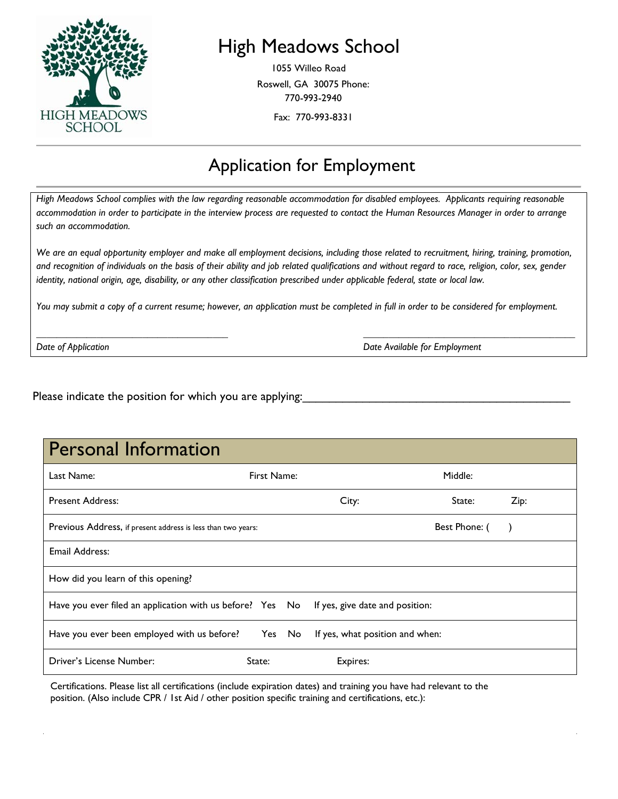

## High Meadows School

1055 Willeo Road Roswell, GA 30075 Phone: 770-993-2940

Fax: 770-993-8331

#### Application for Employment

*High Meadows School complies with the law regarding reasonable accommodation for disabled employees. Applicants requiring reasonable accommodation in order to participate in the interview process are requested to contact the Human Resources Manager in order to arrange such an accommodation.*

*We are an equal opportunity employer and make all employment decisions, including those related to recruitment, hiring, training, promotion,*  and recognition of individuals on the basis of their ability and job related qualifications and without regard to race, religion, color, sex, gender *identity, national origin, age, disability, or any other classification prescribed under applicable federal, state or local law.* 

*You may submit a copy of a current resume; however, an application must be completed in full in order to be considered for employment.*

*\_\_\_\_\_\_\_\_\_\_\_\_\_\_\_\_\_\_\_\_\_\_\_\_\_\_\_\_\_\_\_\_\_\_\_\_\_\_ \_\_\_\_\_\_\_\_\_\_\_\_\_\_\_\_\_\_\_\_\_\_\_\_\_\_\_\_\_\_\_\_\_\_\_\_\_\_\_\_\_\_*

*Date of Application Date Available for Employment*

Please indicate the position for which you are applying:

| Last Name:                                                                                | First Name: |  | Middle:                         |        |      |
|-------------------------------------------------------------------------------------------|-------------|--|---------------------------------|--------|------|
| <b>Present Address:</b>                                                                   |             |  | City:                           | State: | Zip: |
| Previous Address, if present address is less than two years:                              |             |  | Best Phone: (                   |        |      |
| Email Address:                                                                            |             |  |                                 |        |      |
| How did you learn of this opening?                                                        |             |  |                                 |        |      |
| Have you ever filed an application with us before? Yes No If yes, give date and position: |             |  |                                 |        |      |
| Have you ever been employed with us before? Yes No                                        |             |  | If yes, what position and when: |        |      |
| Driver's License Number:                                                                  | State:      |  | Expires:                        |        |      |

Certifications. Please list all certifications (include expiration dates) and training you have had relevant to the position. (Also include CPR / 1st Aid / other position specific training and certifications, etc.):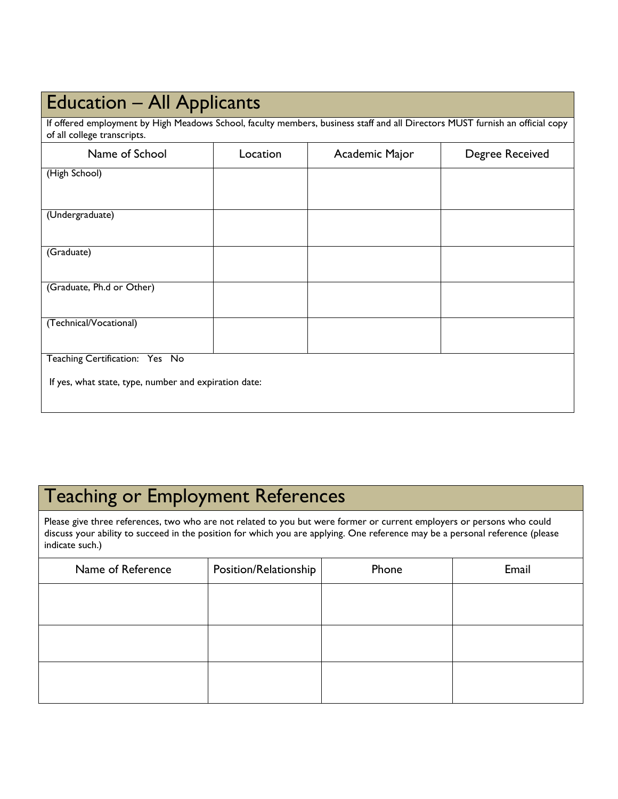# Education – All Applicants

If offered employment by High Meadows School, faculty members, business staff and all Directors MUST furnish an official copy of all college transcripts.

| Name of School                                        | Location | Academic Major | Degree Received |
|-------------------------------------------------------|----------|----------------|-----------------|
| (High School)                                         |          |                |                 |
|                                                       |          |                |                 |
| (Undergraduate)                                       |          |                |                 |
|                                                       |          |                |                 |
| (Graduate)                                            |          |                |                 |
|                                                       |          |                |                 |
| (Graduate, Ph.d or Other)                             |          |                |                 |
|                                                       |          |                |                 |
| (Technical/Vocational)                                |          |                |                 |
| Teaching Certification: Yes No                        |          |                |                 |
| If yes, what state, type, number and expiration date: |          |                |                 |
|                                                       |          |                |                 |

# Teaching or Employment References

Please give three references, two who are not related to you but were former or current employers or persons who could discuss your ability to succeed in the position for which you are applying. One reference may be a personal reference (please indicate such.)

| Name of Reference | Position/Relationship | Phone | Email |  |
|-------------------|-----------------------|-------|-------|--|
|                   |                       |       |       |  |
|                   |                       |       |       |  |
|                   |                       |       |       |  |
|                   |                       |       |       |  |
|                   |                       |       |       |  |
|                   |                       |       |       |  |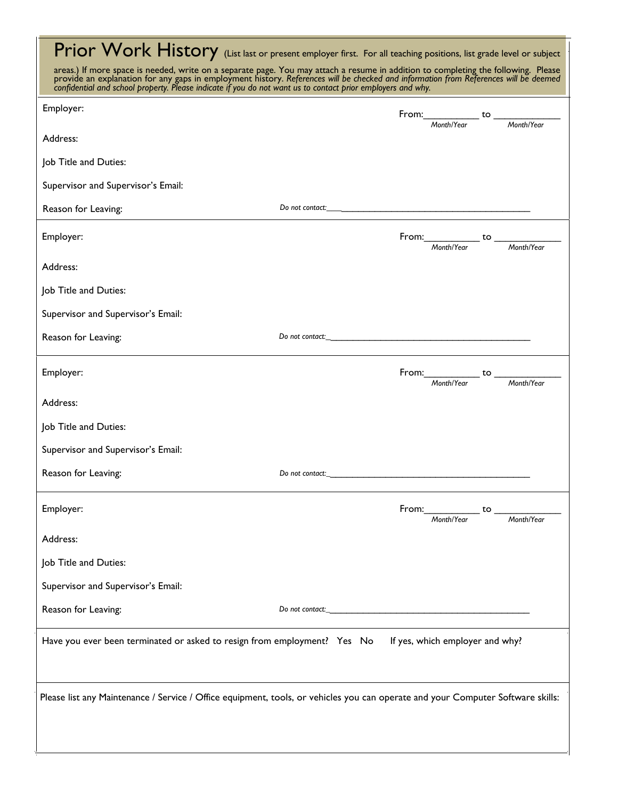| Prior Work History (List last or present employer first. For all teaching positions, list grade level or subject                                                                                                                                                                                                                                 |                        |  |                                              |  |            |  |
|--------------------------------------------------------------------------------------------------------------------------------------------------------------------------------------------------------------------------------------------------------------------------------------------------------------------------------------------------|------------------------|--|----------------------------------------------|--|------------|--|
| areas.) If more space is needed, write on a separate page. You may attach a resume in addition to completing the following. Please<br>provide an explanation for any gaps in employment history. References will be checked and i<br>confidential and school property. Please indicate if you do not want us to contact prior employers and why. |                        |  |                                              |  |            |  |
| Employer:                                                                                                                                                                                                                                                                                                                                        |                        |  | From: $\frac{10}{100}$ to $\frac{100}{100}$  |  |            |  |
| Address:                                                                                                                                                                                                                                                                                                                                         |                        |  |                                              |  |            |  |
| Job Title and Duties:                                                                                                                                                                                                                                                                                                                            |                        |  |                                              |  |            |  |
| Supervisor and Supervisor's Email:                                                                                                                                                                                                                                                                                                               |                        |  |                                              |  |            |  |
| Reason for Leaving:                                                                                                                                                                                                                                                                                                                              |                        |  |                                              |  |            |  |
| Employer:                                                                                                                                                                                                                                                                                                                                        |                        |  | From: Month/Year to Month/Year               |  |            |  |
| Address:                                                                                                                                                                                                                                                                                                                                         |                        |  |                                              |  |            |  |
| Job Title and Duties:                                                                                                                                                                                                                                                                                                                            |                        |  |                                              |  |            |  |
| Supervisor and Supervisor's Email:                                                                                                                                                                                                                                                                                                               |                        |  |                                              |  |            |  |
| Reason for Leaving:                                                                                                                                                                                                                                                                                                                              | Do not contact: $\_\_$ |  |                                              |  |            |  |
| Employer:                                                                                                                                                                                                                                                                                                                                        |                        |  | From: Month/Year to Month/Year               |  |            |  |
| Address:                                                                                                                                                                                                                                                                                                                                         |                        |  |                                              |  |            |  |
| Job Title and Duties:                                                                                                                                                                                                                                                                                                                            |                        |  |                                              |  |            |  |
| Supervisor and Supervisor's Email:                                                                                                                                                                                                                                                                                                               |                        |  |                                              |  |            |  |
| Reason for Leaving:                                                                                                                                                                                                                                                                                                                              | Do not contact:_       |  |                                              |  |            |  |
| Employer:                                                                                                                                                                                                                                                                                                                                        |                        |  | From: _______________ to _____<br>Month/Year |  | Month/Year |  |
| Address:                                                                                                                                                                                                                                                                                                                                         |                        |  |                                              |  |            |  |
| Job Title and Duties:                                                                                                                                                                                                                                                                                                                            |                        |  |                                              |  |            |  |
| Supervisor and Supervisor's Email:                                                                                                                                                                                                                                                                                                               |                        |  |                                              |  |            |  |
| Reason for Leaving:                                                                                                                                                                                                                                                                                                                              |                        |  |                                              |  |            |  |
| Have you ever been terminated or asked to resign from employment? Yes No                                                                                                                                                                                                                                                                         |                        |  | If yes, which employer and why?              |  |            |  |
| Please list any Maintenance / Service / Office equipment, tools, or vehicles you can operate and your Computer Software skills:                                                                                                                                                                                                                  |                        |  |                                              |  |            |  |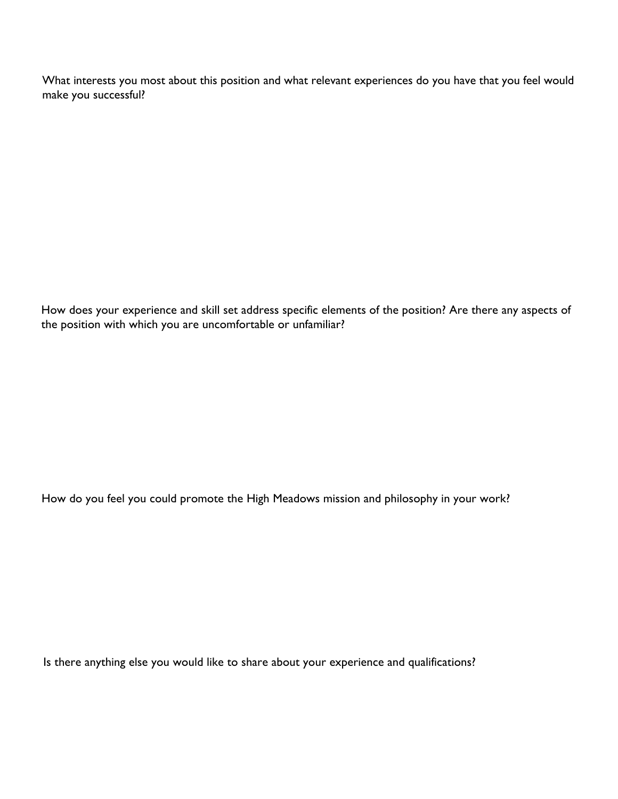What interests you most about this position and what relevant experiences do you have that you feel would make you successful?

How does your experience and skill set address specific elements of the position? Are there any aspects of the position with which you are uncomfortable or unfamiliar?

How do you feel you could promote the High Meadows mission and philosophy in your work?

Is there anything else you would like to share about your experience and qualifications?